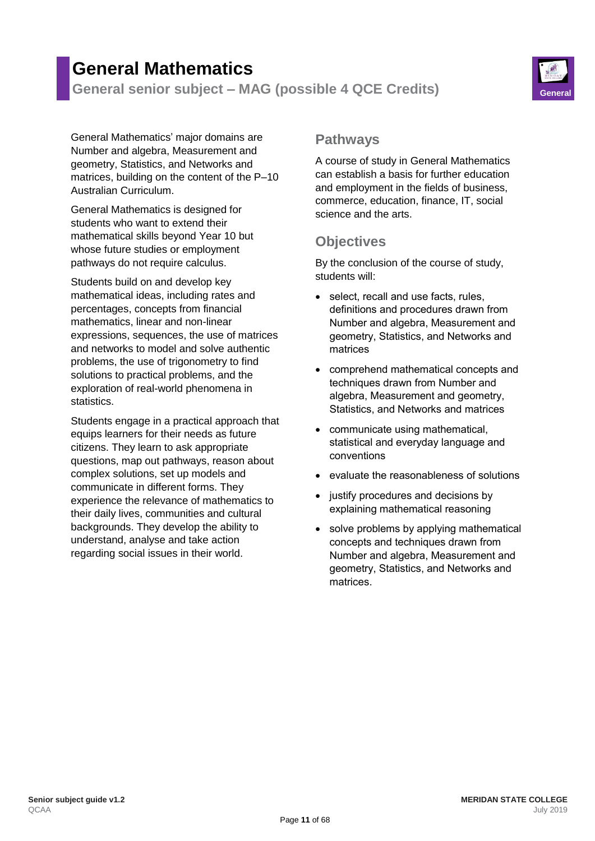# **General Mathematics**

**General senior subject – MAG (possible 4 QCE Credits) General**



General Mathematics' major domains are Number and algebra, Measurement and geometry, Statistics, and Networks and matrices, building on the content of the P–10 Australian Curriculum.

General Mathematics is designed for students who want to extend their mathematical skills beyond Year 10 but whose future studies or employment pathways do not require calculus.

Students build on and develop key mathematical ideas, including rates and percentages, concepts from financial mathematics, linear and non-linear expressions, sequences, the use of matrices and networks to model and solve authentic problems, the use of trigonometry to find solutions to practical problems, and the exploration of real-world phenomena in statistics.

Students engage in a practical approach that equips learners for their needs as future citizens. They learn to ask appropriate questions, map out pathways, reason about complex solutions, set up models and communicate in different forms. They experience the relevance of mathematics to their daily lives, communities and cultural backgrounds. They develop the ability to understand, analyse and take action regarding social issues in their world.

#### **Pathways**

A course of study in General Mathematics can establish a basis for further education and employment in the fields of business, commerce, education, finance, IT, social science and the arts.

## **Objectives**

By the conclusion of the course of study, students will:

- select, recall and use facts, rules, definitions and procedures drawn from Number and algebra, Measurement and geometry, Statistics, and Networks and matrices
- comprehend mathematical concepts and techniques drawn from Number and algebra, Measurement and geometry, Statistics, and Networks and matrices
- communicate using mathematical, statistical and everyday language and conventions
- evaluate the reasonableness of solutions
- justify procedures and decisions by explaining mathematical reasoning
- solve problems by applying mathematical concepts and techniques drawn from Number and algebra, Measurement and geometry, Statistics, and Networks and matrices.